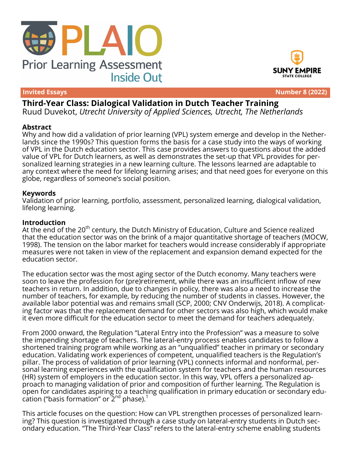



**Invited Essays Number 8 (2022)**

# **Third-Year Class: Dialogical Validation in Dutch Teacher Training**

Ruud Duvekot, *Utrecht University of Applied Sciences, Utrecht, The Netherlands*

#### **Abstract**

Why and how did a validation of prior learning (VPL) system emerge and develop in the Netherlands since the 1990s? This question forms the basis for a case study into the ways of working of VPL in the Dutch education sector. This case provides answers to questions about the added value of VPL for Dutch learners, as well as demonstrates the set-up that VPL provides for personalized learning strategies in a new learning culture. The lessons learned are adaptable to any context where the need for lifelong learning arises; and that need goes for everyone on this globe, regardless of someone's social position.

#### **Keywords**

Validation of prior learning, portfolio, assessment, personalized learning, dialogical validation, lifelong learning.

#### **Introduction**

At the end of the 20<sup>th</sup> century, the Dutch Ministry of Education, Culture and Science realized that the education sector was on the brink of a major quantitative shortage of teachers (MOCW, 1998). The tension on the labor market for teachers would increase considerably if appropriate measures were not taken in view of the replacement and expansion demand expected for the education sector.

The education sector was the most aging sector of the Dutch economy. Many teachers were soon to leave the profession for (pre)retirement, while there was an insufficient inflow of new teachers in return. In addition, due to changes in policy, there was also a need to increase the number of teachers, for example, by reducing the number of students in classes. However, the available labor potential was and remains small (SCP, 2000; CNV Onderwijs, 2018). A complicating factor was that the replacement demand for other sectors was also high, which would make it even more difficult for the education sector to meet the demand for teachers adequately.

From 2000 onward, the Regulation "Lateral Entry into the Profession" was a measure to solve the impending shortage of teachers. The lateral-entry process enables candidates to follow a shortened training program while working as an "unqualified" teacher in primary or secondary education. Validating work experiences of competent, unqualified teachers is the Regulation's pillar. The process of validation of prior learning (VPL) connects informal and nonformal, personal learning experiences with the qualification system for teachers and the human resources (HR) system of employers in the education sector. In this way, VPL offers a personalized approach to managing validation of prior and composition of further learning. The Regulation is open for candidates aspiring to a teaching qualification in primary education or secondary education ("basis formation" or  $2^{\text{nd}}$  phase).<sup>1</sup>

This article focuses on the question: How can VPL strengthen processes of personalized learning? This question is investigated through a case study on lateral-entry students in Dutch secondary education. "The Third-Year Class" refers to the lateral-entry scheme enabling students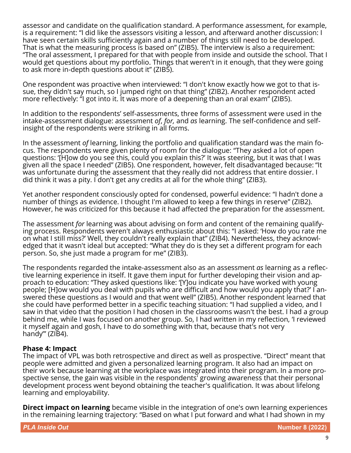assessor and candidate on the qualification standard. A performance assessment, for example, is a requirement: "I did like the assessors visiting a lesson, and afterward another discussion: I have seen certain skills sufficiently again and a number of things still need to be developed. That is what the measuring process is based on" (ZIB5). The interview is also a requirement: "The oral assessment, I prepared for that with people from inside and outside the school. That I would get questions about my portfolio. Things that weren't in it enough, that they were going to ask more in-depth questions about it" (ZIB5).

One respondent was proactive when interviewed: "I don't know exactly how we got to that issue, they didn't say much, so I jumped right on that thing" (ZIB2). Another respondent acted more reflectively: "I got into it. It was more of a deepening than an oral exam" (ZIB5).

In addition to the respondents' self-assessments, three forms of assessment were used in the intake-assessment dialogue: assessment *of*, *for,* and *as* learning. The self-confidence and selfinsight of the respondents were striking in all forms.

In the assessment *of* learning, linking the portfolio and qualification standard was the main focus. The respondents were given plenty of room for the dialogue: "They asked a lot of open questions: '[H]ow do you see this, could you explain this?' It was steering, but it was that I was given all the space I needed" (ZIB5). One respondent, however, felt disadvantaged because: "It was unfortunate during the assessment that they really did not address that entire dossier. I did think it was a pity. I don't get any credits at all for the whole thing" (ZIB3).

Yet another respondent consciously opted for condensed, powerful evidence: "I hadn't done a number of things as evidence. I thought I'm allowed to keep a few things in reserve" (ZIB2). However, he was criticized for this because it had affected the preparation for the assessment.

The assessment *for* learning was about advising on form and content of the remaining qualifying process. Respondents weren't always enthusiastic about this: "I asked: 'How do you rate me on what I still miss?' Well, they couldn't really explain that" (ZIB4). Nevertheless, they acknowledged that it wasn't ideal but accepted: "What they do is they set a different program for each person. So, she just made a program for me" (ZIB3).

The respondents regarded the intake-assessment also as an assessment *as* learning as a reflective learning experience in itself. It gave them input for further developing their vision and approach to education: "They asked questions like: '[Y]ou indicate you have worked with young people; [H]ow would you deal with pupils who are difficult and how would you apply that?' I answered these questions as I would and that went well" (ZIB5). Another respondent learned that she could have performed better in a specific teaching situation: "I had supplied a video, and I saw in that video that the position I had chosen in the classrooms wasn't the best. I had a group behind me, while I was focused on another group. So, I had written in my reflection, 'I reviewed it myself again and gosh, I have to do something with that, because that's not very handy'" (ZIB4).

# **Phase 4: Impact**

The impact of VPL was both retrospective and direct as well as prospective. "Direct" meant that people were admitted and given a personalized learning program. It also had an impact on their work because learning at the workplace was integrated into their program. In a more prospective sense, the gain was visible in the respondents' growing awareness that their personal development process went beyond obtaining the teacher's qualification. It was about lifelong learning and employability.

**Direct impact on learning** became visible in the integration of one's own learning experiences in the remaining learning trajectory: "Based on what I put forward and what I had shown in my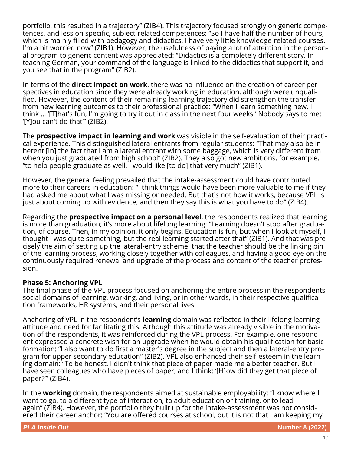portfolio, this resulted in a trajectory" (ZIB4). This trajectory focused strongly on generic competences, and less on specific, subject-related competences: "So I have half the number of hours, which is mainly filled with pedagogy and didactics. I have very little knowledge-related courses. I'm a bit worried now" (ZIB1). However, the usefulness of paying a lot of attention in the personal program to generic content was appreciated: "Didactics is a completely different story. In teaching German, your command of the language is linked to the didactics that support it, and you see that in the program" (ZIB2).

In terms of the **direct impact on work**, there was no influence on the creation of career perspectives in education since they were already working in education, although were unqualified. However, the content of their remaining learning trajectory did strengthen the transfer from new learning outcomes to their professional practice: "When I learn something new, I think … '[T]hat's fun, I'm going to try it out in class in the next four weeks.' Nobody says to me: '[Y]ou can't do that'" (ZIB2).

The **prospective impact in learning and work** was visible in the self-evaluation of their practical experience. This distinguished lateral entrants from regular students: "That may also be inherent [in] the fact that I am a lateral entrant with some baggage, which is very different from when you just graduated from high school" (ZIB2). They also got new ambitions, for example, "to help people graduate as well. I would like [to do] that very much" (ZIB1).

However, the general feeling prevailed that the intake-assessment could have contributed more to their careers in education: "I think things would have been more valuable to me if they had asked me about what I was missing or needed. But that's not how it works, because VPL is just about coming up with evidence, and then they say this is what you have to do" (ZIB4).

Regarding the **prospective impact on a personal level**, the respondents realized that learning is more than graduation; it's more about lifelong learning: "Learning doesn't stop after graduation, of course. Then, in my opinion, it only begins. Education is fun, but when I look at myself, I thought I was quite something, but the real learning started after that" (ZIB1). And that was precisely the aim of setting up the lateral-entry scheme: that the teacher should be the linking pin of the learning process, working closely together with colleagues, and having a good eye on the continuously required renewal and upgrade of the process and content of the teacher profession.

### **Phase 5: Anchoring VPL**

The final phase of the VPL process focused on anchoring the entire process in the respondents' social domains of learning, working, and living, or in other words, in their respective qualification frameworks, HR systems, and their personal lives.

Anchoring of VPL in the respondent's **learning** domain was reflected in their lifelong learning attitude and need for facilitating this. Although this attitude was already visible in the motivation of the respondents, it was reinforced during the VPL process. For example, one respondent expressed a concrete wish for an upgrade when he would obtain his qualification for basic formation: "I also want to do first a master's degree in the subject and then a lateral-entry program for upper secondary education" (ZIB2). VPL also enhanced their self-esteem in the learning domain: "To be honest, I didn't think that piece of paper made me a better teacher. But I have seen colleagues who have pieces of paper, and I think: '[H]ow did they get that piece of paper?'" (ZIB4).

In the **working** domain, the respondents aimed at sustainable employability: "I know where I want to go, to a different type of interaction, to adult education or training, or to lead again" (ZIB4). However, the portfolio they built up for the intake-assessment was not considered their career anchor: "You are offered courses at school, but it is not that I am keeping my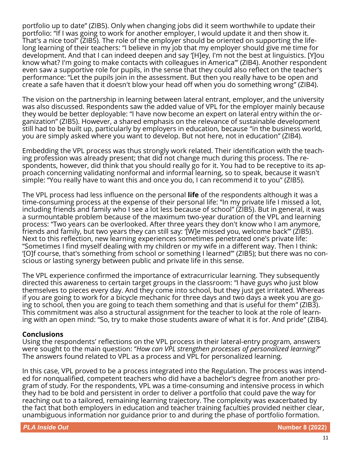portfolio up to date" (ZIB5). Only when changing jobs did it seem worthwhile to update their portfolio: "If I was going to work for another employer, I would update it and then show it. That's a nice tool" (ZIB5). The role of the employer should be oriented on supporting the lifelong learning of their teachers: "I believe in my job that my employer should give me time for development. And that I can indeed deepen and say '[H]ey, I'm not the best at linguistics. [Y]ou know what? I'm going to make contacts with colleagues in America'" (ZIB4). Another respondent even saw a supportive role for pupils, in the sense that they could also reflect on the teacher's performance: "Let the pupils join in the assessment. But then you really have to be open and create a safe haven that it doesn't blow your head off when you do something wrong" (ZIB4).

The vision on the partnership in learning between lateral entrant, employer, and the university was also discussed. Respondents saw the added value of VPL for the employer mainly because they would be better deployable: "I have now become an expert on lateral entry within the organization" (ZIB5). However, a shared emphasis on the relevance of sustainable development still had to be built up, particularly by employers in education, because "in the business world, you are simply asked where you want to develop. But not here, not in education" (ZIB4).

Embedding the VPL process was thus strongly work related. Their identification with the teaching profession was already present; that did not change much during this process. The respondents, however, did think that you should really go for it. You had to be receptive to its approach concerning validating nonformal and informal learning, so to speak, because it wasn't simple: "You really have to want this and once you do, I can recommend it to you" (ZIB5).

The VPL process had less influence on the personal **life** of the respondents although it was a time-consuming process at the expense of their personal life: "In my private life I missed a lot, including friends and family who I see a lot less because of school" (ZIB5). But in general, it was a surmountable problem because of the maximum two-year duration of the VPL and learning process: "Two years can be overlooked. After three years they don't know who I am anymore, friends and family, but two years they can still say: '[W]e missed you, welcome back'" (ZIB5). Next to this reflection, new learning experiences sometimes penetrated one's private life: "Sometimes I find myself dealing with my children or my wife in a different way. Then I think: '[O]f course, that's something from school or something I learned'" (ZIB5); but there was no conscious or lasting synergy between public and private life in this sense.

The VPL experience confirmed the importance of extracurricular learning. They subsequently directed this awareness to certain target groups in the classroom: "I have guys who just blow themselves to pieces every day. And they come into school, but they just get irritated. Whereas if you are going to work for a bicycle mechanic for three days and two days a week you are going to school, then you are going to teach them something and that is useful for them" (ZIB3). This commitment was also a structural assignment for the teacher to look at the role of learning with an open mind: "So, try to make those students aware of what it is for. And pride" (ZIB4).

### **Conclusions**

Using the respondents' reflections on the VPL process in their lateral-entry program, answers were sought to the main question: "*How can VPL strengthen processes of personalized learning?*" The answers found related to VPL as a process and VPL for personalized learning.

In this case, VPL proved to be a process integrated into the Regulation. The process was intended for nonqualified, competent teachers who did have a bachelor's degree from another program of study. For the respondents, VPL was a time-consuming and intensive process in which they had to be bold and persistent in order to deliver a portfolio that could pave the way for reaching out to a tailored, remaining learning trajectory. The complexity was exacerbated by the fact that both employers in education and teacher training faculties provided neither clear, unambiguous information nor guidance prior to and during the phase of portfolio formation.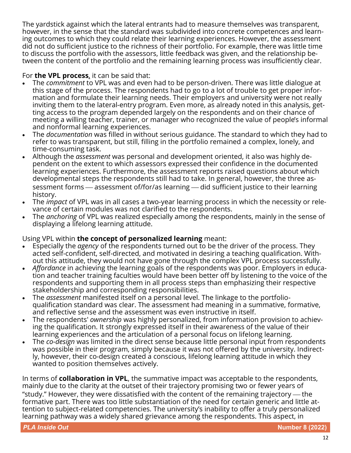The yardstick against which the lateral entrants had to measure themselves was transparent, however, in the sense that the standard was subdivided into concrete competences and learning outcomes to which they could relate their learning experiences. However, the assessment did not do sufficient justice to the richness of their portfolio. For example, there was little time to discuss the portfolio with the assessors, little feedback was given, and the relationship between the content of the portfolio and the remaining learning process was insufficiently clear.

# For **the VPL process**, it can be said that:

- The *commitment* to VPL was and even had to be person-driven. There was little dialogue at this stage of the process. The respondents had to go to a lot of trouble to get proper information and formulate their learning needs. Their employers and university were not really inviting them to the lateral-entry program. Even more, as already noted in this analysis, getting access to the program depended largely on the respondents and on their chance of meeting a willing teacher, trainer, or manager who recognized the value of people's informal and nonformal learning experiences.
- The *documentation* was filled in without serious guidance. The standard to which they had to refer to was transparent, but still, filling in the portfolio remained a complex, lonely, and time-consuming task.
- Although the *assessment* was personal and development oriented, it also was highly dependent on the extent to which assessors expressed their confidence in the documented learning experiences. Furthermore, the assessment reports raised questions about which developmental steps the respondents still had to take. In general, however, the three assessment forms — assessment of/for/as learning — did sufficient justice to their learning history.
- The *impact* of VPL was in all cases a two-year learning process in which the necessity or relevance of certain modules was not clarified to the respondents.
- The *anchoring* of VPL was realized especially among the respondents, mainly in the sense of displaying a lifelong learning attitude.

# Using VPL within **the concept of personalized learning** meant:

- Especially the *agency* of the respondents turned out to be the driver of the process. They acted self-confident, self-directed, and motivated in desiring a teaching qualification. Without this attitude, they would not have gone through the complex VPL process successfully.
- *Affordance* in achieving the learning goals of the respondents was poor. Employers in education and teacher training faculties would have been better off by listening to the voice of the respondents and supporting them in all process steps than emphasizing their respective stakeholdership and corresponding responsibilities.
- The *assessment* manifested itself on a personal level. The linkage to the portfolioqualification standard was clear. The assessment had meaning in a summative, formative, and reflective sense and the assessment was even instructive in itself.
- The respondents' *ownership* was highly personalized, from information provision to achieving the qualification. It strongly expressed itself in their awareness of the value of their learning experiences and the articulation of a personal focus on lifelong learning.
- The *co-design* was limited in the direct sense because little personal input from respondents was possible in their program, simply because it was not offered by the university. Indirectly, however, their co-design created a conscious, lifelong learning attitude in which they wanted to position themselves actively.

In terms of **collaboration in VPL**, the summative impact was acceptable to the respondents, mainly due to the clarity at the outset of their trajectory promising two or fewer years of "study." However, they were dissatisfied with the content of the remaining trajectory  $-$  the formative part. There was too little substantiation of the need for certain generic and little attention to subject-related competencies. The university's inability to offer a truly personalized learning pathway was a widely shared grievance among the respondents. This aspect, in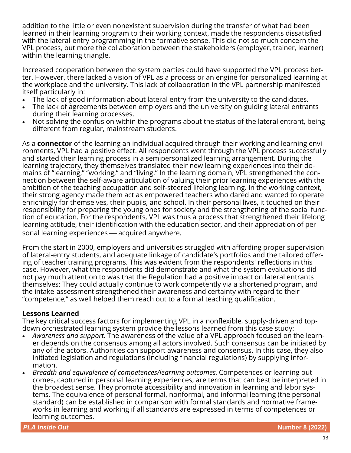addition to the little or even nonexistent supervision during the transfer of what had been learned in their learning program to their working context, made the respondents dissatisfied with the lateral-entry programming in the formative sense. This did not so much concern the VPL process, but more the collaboration between the stakeholders (employer, trainer, learner) within the learning triangle.

Increased cooperation between the system parties could have supported the VPL process better. However, there lacked a vision of VPL as a process or an engine for personalized learning at the workplace and the university. This lack of collaboration in the VPL partnership manifested itself particularly in:

- The lack of good information about lateral entry from the university to the candidates.
- The lack of agreements between employers and the university on guiding lateral entrants during their learning processes.
- Not solving the confusion within the programs about the status of the lateral entrant, being different from regular, mainstream students.

As a **connector** of the learning an individual acquired through their working and learning environments, VPL had a positive effect. All respondents went through the VPL process successfully and started their learning process in a semipersonalized learning arrangement. During the learning trajectory, they themselves translated their new learning experiences into their domains of "learning," "working," and "living." In the learning domain, VPL strengthened the connection between the self-aware articulation of valuing their prior learning experiences with the ambition of the teaching occupation and self-steered lifelong learning. In the working context, their strong agency made them act as empowered teachers who dared and wanted to operate enrichingly for themselves, their pupils, and school. In their personal lives, it touched on their responsibility for preparing the young ones for society and the strengthening of the social function of education. For the respondents, VPL was thus a process that strengthened their lifelong learning attitude, their identification with the education sector, and their appreciation of personal learning experiences — acquired anywhere.

From the start in 2000, employers and universities struggled with affording proper supervision of lateral-entry students, and adequate linkage of candidate's portfolios and the tailored offering of teacher training programs. This was evident from the respondents' reflections in this case. However, what the respondents did demonstrate and what the system evaluations did not pay much attention to was that the Regulation had a positive impact on lateral entrants themselves: They could actually continue to work competently via a shortened program, and the intake-assessment strengthened their awareness and certainty with regard to their "competence," as well helped them reach out to a formal teaching qualification.

# **Lessons Learned**

The key critical success factors for implementing VPL in a nonflexible, supply-driven and topdown orchestrated learning system provide the lessons learned from this case study:

- *Awareness and support*. The awareness of the value of a VPL approach focused on the learner depends on the consensus among all actors involved. Such consensus can be initiated by any of the actors. Authorities can support awareness and consensus. In this case, they also initiated legislation and regulations (including financial regulations) by supplying information.
- *Breadth and equivalence of competences/learning outcomes*. Competences or learning outcomes, captured in personal learning experiences, are terms that can best be interpreted in the broadest sense. They promote accessibility and innovation in learning and labor systems. The equivalence of personal formal, nonformal, and informal learning (the personal standard) can be established in comparison with formal standards and normative frameworks in learning and working if all standards are expressed in terms of competences or learning outcomes.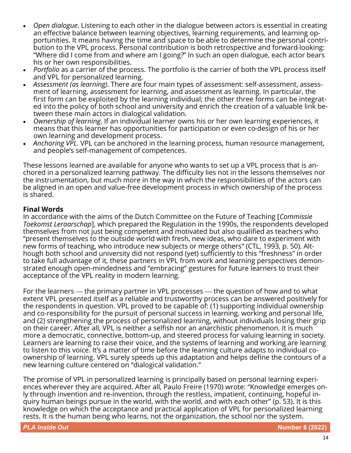- *Open dialogue*. Listening to each other in the dialogue between actors is essential in creating an effective balance between learning objectives, learning requirements, and learning opportunities. It means having the time and space to be able to determine the personal contribution to the VPL process. Personal contribution is both retrospective and forward-looking: "Where did I come from and where am I going?" In such an open dialogue, each actor bears his or her own responsibilities.
- *Portfolio* as a carrier of the process. The portfolio is the carrier of both the VPL process itself and VPL for personalized learning.
- *Assessment (as learning)*. There are four main types of assessment: self-assessment, assessment of learning, assessment for learning, and assessment as learning. In particular, the first form can be exploited by the learning individual; the other three forms can be integrated into the policy of both school and university and enrich the creation of a valuable link between these main actors in dialogical validation.
- *Ownership of learning*. If an individual learner owns his or her own learning experiences, it means that this learner has opportunities for participation or even co-design of his or her own learning and development process.
- *Anchoring VPL*. VPL can be anchored in the learning process, human resource management, and people's self-management of competences.

These lessons learned are available for anyone who wants to set up a VPL process that is anchored in a personalized learning pathway. The difficulty lies not in the lessons themselves nor the instrumentation, but much more in the way in which the responsibilities of the actors can be aligned in an open and value-free development process in which ownership of the process is shared.

# **Final Words**

In accordance with the aims of the Dutch Committee on the Future of Teaching [*Commissie Toekomst Leraarschap*], which prepared the Regulation in the 1990s, the respondents developed themselves from not just being competent and motivated but also qualified as teachers who "present themselves to the outside world with fresh, new ideas, who dare to experiment with new forms of teaching, who introduce new subjects or merge others" (CTL, 1993, p. 50)*.* Although both school and university did not respond (yet) sufficiently to this "freshness" in order to take full advantage of it, these partners in VPL from work and learning perspectives demonstrated enough open-mindedness and "embracing" gestures for future learners to trust their acceptance of the VPL reality in modern learning.

For the learners — the primary partner in VPL processes — the question of how and to what extent VPL presented itself as a reliable and trustworthy process can be answered positively for the respondents in question. VPL proved to be capable of: (1) supporting individual ownership and co-responsibility for the pursuit of personal success in learning, working and personal life, and (2) strengthening the process of personalized learning, without individuals losing their grip on their career. After all, VPL is neither a selfish nor an anarchistic phenomenon. It is much more a democratic, connective, bottom-up, and steered process for valuing learning in society. Learners are learning to raise their voice, and the systems of learning and working are learning to listen to this voice. It's a matter of time before the learning culture adapts to individual coownership of learning. VPL surely speeds up this adaptation and helps define the contours of a new learning culture centered on "dialogical validation."

The promise of VPL in personalized learning is principally based on personal learning experiences wherever they are acquired. After all, Paulo Freire (1970) wrote: "Knowledge emerges only through invention and re-invention, through the restless, impatient, continuing, hopeful inquiry human beings pursue in the world, with the world, and with each other" (p. 53). It is this knowledge on which the acceptance and practical application of VPL for personalized learning rests. It is the human being who learns, not the organization, the school nor the system.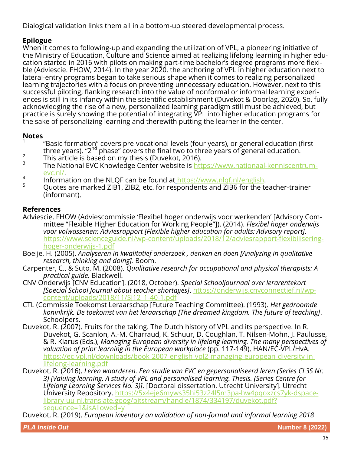Dialogical validation links them all in a bottom-up steered developmental process.

# **Epilogue**

When it comes to following-up and expanding the utilization of VPL, a pioneering initiative of the Ministry of Education, Culture and Science aimed at realizing lifelong learning in higher education started in 2016 with pilots on making part-time bachelor's degree programs more flexible (Adviescie. FHOW, 2014). In the year 2020, the anchoring of VPL in higher education next to lateral-entry programs began to take serious shape when it comes to realizing personalized learning trajectories with a focus on preventing unnecessary education. However, next to this successful piloting, flanking research into the value of nonformal or informal learning experiences is still in its infancy within the scientific establishment (Duvekot & Doorlag, 2020). So, fully acknowledging the rise of a new, personalized learning paradigm still must be achieved, but practice is surely showing the potential of integrating VPL into higher education programs for the sake of personalizing learning and therewith putting the learner in the center.

# **Notes**

- 1 "Basic formation" covers pre-vocational levels (four years), or general education (first three years). "2<sup>nd</sup> phase" covers the final two to three years of general education.
- 2 This article is based on my thesis (Duvekot, 2016).
- 3 The National EVC Knowledge Center website is [https://www.nationaal](https://www.nationaal-kenniscentrum-evc.nl/)-kenniscentrum[evc.nl/.](https://www.nationaal-kenniscentrum-evc.nl/)
- 4 Information on the NLQF can be found at [https://www.nlqf.nl/english.](https://www.nlqf.nl/english)
- <sup>5</sup> Quotes are marked ZIB1, ZIB2, etc. for respondents and ZIB6 for the teacher-trainer (informant).

# **References**

- Adviescie. FHOW (Adviescommissie 'Flexibel hoger onderwijs voor werkenden' [Advisory Committee "Flexible Higher Education for Working People"]). (2014). *Flexibel hoger onderwijs voor volwassenen: Adviesrapport [Flexible higher education for adults: Advisory report]*. https://www.scienceguide.nl/wp-[content/uploads/2018/12/adviesrapport](https://www.scienceguide.nl/wp-content/uploads/2018/12/adviesrapport-flexibilisering-hoger-onderwijs-1.pdf)-flexibiliseringhoger-[onderwijs](https://www.scienceguide.nl/wp-content/uploads/2018/12/adviesrapport-flexibilisering-hoger-onderwijs-1.pdf)-1.pdf
- Boeije, H. (2005). *Analyseren in kwalitatief onderzoek , denken en doen [Analyzing in qualitative research, thinking and doing].* Boom.
- Carpenter, C., & Suto, M. (2008). *Qualitative research for occupational and physical therapists: A practical guide.* Blackwell.
- CNV Onderwijs [CNV Education]. (2018, October). *Special Schooljournaal over lerarentekort [Special School Journal about teacher shortages]*. [https://onderwijs.cnvconnectief.nl/wp](https://onderwijs.cnvconnectief.nl/wp-content/uploads/2018/11/SJ12_1-40-1.pdf)[content/uploads/2018/11/SJ12\\_1](https://onderwijs.cnvconnectief.nl/wp-content/uploads/2018/11/SJ12_1-40-1.pdf)-40-1.pdf
- CTL (Commissie Toekomst Leraarschap [Future Teaching Committee). (1993). *Het gedroomde koninkrijk. De toekomst van het leraarschap [The dreamed kingdom. The future of teaching]*. Schoolpers.
- Duvekot, R. (2007). Fruits for the taking. The Dutch history of VPL and its perspective. In R. Duvekot, G. Scanlon, A.-M. Charraud, K. Schuur, D. Coughlan, T. Nilsen-Mohn, J. Paulusse, & R. Klarus (Eds.), *Managing European diversity in lifelong learning. The many perspectives of valuation of prior learning in the European workplace* (pp. 117-149). HAN/EC-VPL/HvA. https://ec-[vpl.nl/downloads/book](https://ec-vpl.nl/downloads/book-2007-english-vpl2-managing-european-diversity-in-lifelong-learning.pdf)-2007-english-vpl2-managing-european-diversity-inlifelong-[learning.pdf](https://ec-vpl.nl/downloads/book-2007-english-vpl2-managing-european-diversity-in-lifelong-learning.pdf)
- Duvekot, R. (2016). *Leren waarderen. Een studie van EVC en gepersonaliseerd leren (Series CL3S Nr. 3) [Valuing learning. A study of VPL and personalised learning. Thesis. (Series Centre for Lifelong Learning Services No. 3)]*. [Doctoral dissertation, Utrecht University]. Utrecht University Repository. [https://5x4eje6myws35hi53z24l5m3pa](https://5x4eje6myws35hi53z24l5m3pa-hw4pqoxzcs7yk-dspace-library-uu-nl.translate.goog/bitstream/handle/1874/334197/duvekot.pdf?sequence=1&isAllowed=y)-hw4pqoxzcs7yk-dspacelibrary-uu-[nl.translate.goog/bitstream/handle/1874/334197/duvekot.pdf?](https://5x4eje6myws35hi53z24l5m3pa-hw4pqoxzcs7yk-dspace-library-uu-nl.translate.goog/bitstream/handle/1874/334197/duvekot.pdf?sequence=1&isAllowed=y) [sequence=1&isAllowed=y](https://5x4eje6myws35hi53z24l5m3pa-hw4pqoxzcs7yk-dspace-library-uu-nl.translate.goog/bitstream/handle/1874/334197/duvekot.pdf?sequence=1&isAllowed=y)

Duvekot, R. (2019). *European inventory on validation of non-formal and informal learning 2018*